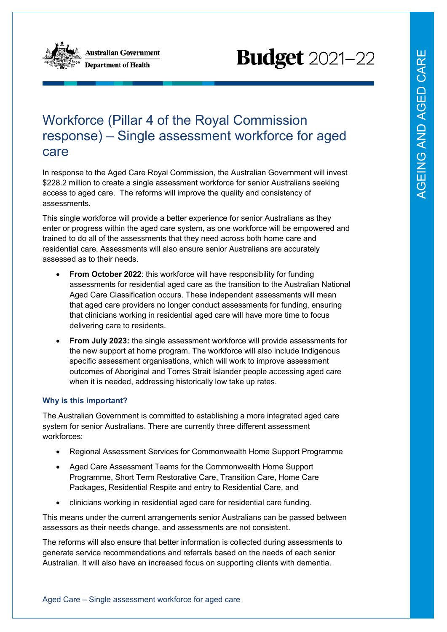

**Australian Government Department of Health** 

# **Budget** 2021-22

# Workforce (Pillar 4 of the Royal Commission response) – Single assessment workforce for aged care

In response to the Aged Care Royal Commission, the Australian Government will invest \$228.2 million to create a single assessment workforce for senior Australians seeking access to aged care. The reforms will improve the quality and consistency of assessments.

This single workforce will provide a better experience for senior Australians as they enter or progress within the aged care system, as one workforce will be empowered and trained to do all of the assessments that they need across both home care and residential care. Assessments will also ensure senior Australians are accurately assessed as to their needs.

- **From October 2022**: this workforce will have responsibility for funding assessments for residential aged care as the transition to the Australian National Aged Care Classification occurs. These independent assessments will mean that aged care providers no longer conduct assessments for funding, ensuring that clinicians working in residential aged care will have more time to focus delivering care to residents.
- **From July 2023:** the single assessment workforce will provide assessments for the new support at home program. The workforce will also include Indigenous specific assessment organisations, which will work to improve assessment outcomes of Aboriginal and Torres Strait Islander people accessing aged care when it is needed, addressing historically low take up rates.

## **Why is this important?**

The Australian Government is committed to establishing a more integrated aged care system for senior Australians. There are currently three different assessment workforces:

- Regional Assessment Services for Commonwealth Home Support Programme
- Aged Care Assessment Teams for the Commonwealth Home Support Programme, Short Term Restorative Care, Transition Care, Home Care Packages, Residential Respite and entry to Residential Care, and
- clinicians working in residential aged care for residential care funding.

This means under the current arrangements senior Australians can be passed between assessors as their needs change, and assessments are not consistent.

The reforms will also ensure that better information is collected during assessments to generate service recommendations and referrals based on the needs of each senior Australian. It will also have an increased focus on supporting clients with dementia.